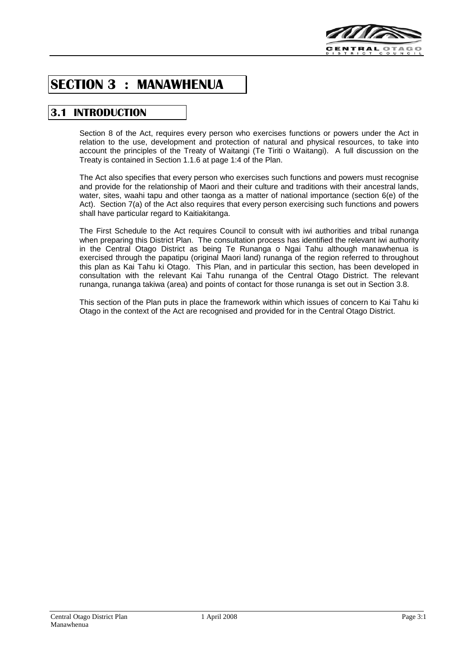

# **SECTION 3 : MANAWHENUA**

## **3.1 INTRODUCTION**

Section 8 of the Act, requires every person who exercises functions or powers under the Act in relation to the use, development and protection of natural and physical resources, to take into account the principles of the Treaty of Waitangi (Te Tiriti o Waitangi). A full discussion on the Treaty is contained in Section 1.1.6 at page 1:4 of the Plan.

The Act also specifies that every person who exercises such functions and powers must recognise and provide for the relationship of Maori and their culture and traditions with their ancestral lands, water, sites, waahi tapu and other taonga as a matter of national importance (section 6(e) of the Act). Section 7(a) of the Act also requires that every person exercising such functions and powers shall have particular regard to Kaitiakitanga.

The First Schedule to the Act requires Council to consult with iwi authorities and tribal runanga when preparing this District Plan. The consultation process has identified the relevant iwi authority in the Central Otago District as being Te Runanga o Ngai Tahu although manawhenua is exercised through the papatipu (original Maori land) runanga of the region referred to throughout this plan as Kai Tahu ki Otago. This Plan, and in particular this section, has been developed in consultation with the relevant Kai Tahu runanga of the Central Otago District. The relevant runanga, runanga takiwa (area) and points of contact for those runanga is set out in Section 3.8.

This section of the Plan puts in place the framework within which issues of concern to Kai Tahu ki Otago in the context of the Act are recognised and provided for in the Central Otago District.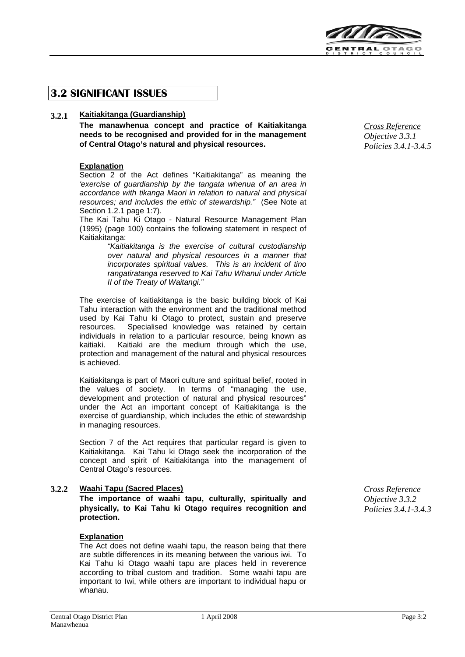

## **3.2 SIGNIFICANT ISSUES**

## **3.2.1 Kaitiakitanga (Guardianship)**

**The manawhenua concept and practice of Kaitiakitanga needs to be recognised and provided for in the management of Central Otago's natural and physical resources.**

## **Explanation**

Section 2 of the Act defines "Kaitiakitanga" as meaning the *'exercise of guardianship by the tangata whenua of an area in accordance with tikanga Maori in relation to natural and physical resources; and includes the ethic of stewardship."* (See Note at Section 1.2.1 page 1:7).

The Kai Tahu Ki Otago - Natural Resource Management Plan (1995) (page 100) contains the following statement in respect of Kaitiakitanga:

> *"Kaitiakitanga is the exercise of cultural custodianship over natural and physical resources in a manner that incorporates spiritual values. This is an incident of tino rangatiratanga reserved to Kai Tahu Whanui under Article II of the Treaty of Waitangi."*

The exercise of kaitiakitanga is the basic building block of Kai Tahu interaction with the environment and the traditional method used by Kai Tahu ki Otago to protect, sustain and preserve resources. Specialised knowledge was retained by certain individuals in relation to a particular resource, being known as Kaitiaki are the medium through which the use, protection and management of the natural and physical resources is achieved.

Kaitiakitanga is part of Maori culture and spiritual belief, rooted in the values of society. In terms of "managing the use, development and protection of natural and physical resources" under the Act an important concept of Kaitiakitanga is the exercise of guardianship, which includes the ethic of stewardship in managing resources.

Section 7 of the Act requires that particular regard is given to Kaitiakitanga. Kai Tahu ki Otago seek the incorporation of the concept and spirit of Kaitiakitanga into the management of Central Otago's resources.

## **3.2.2 Waahi Tapu (Sacred Places)** *Cross Reference*

**The importance of waahi tapu, culturally, spiritually and physically, to Kai Tahu ki Otago requires recognition and protection.**

#### **Explanation**

The Act does not define waahi tapu, the reason being that there are subtle differences in its meaning between the various iwi. To Kai Tahu ki Otago waahi tapu are places held in reverence according to tribal custom and tradition. Some waahi tapu are important to Iwi, while others are important to individual hapu or whanau.

*Cross Reference Objective 3.3.1 Policies 3.4.1-3.4.5*

*Objective 3.3.2 Policies 3.4.1-3.4.3*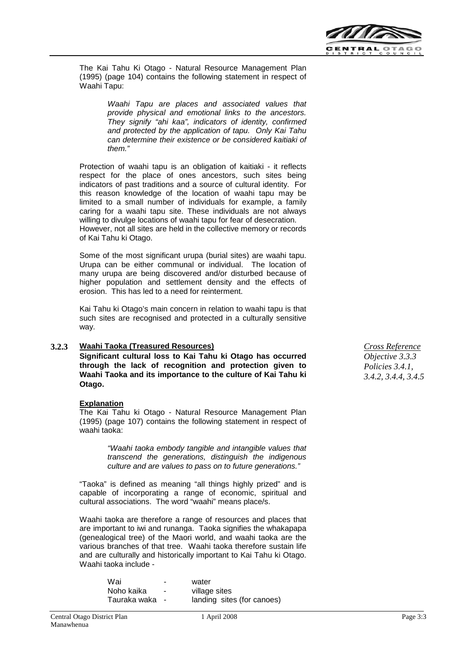

The Kai Tahu Ki Otago - Natural Resource Management Plan (1995) (page 104) contains the following statement in respect of Waahi Tapu:

> *Waahi Tapu are places and associated values that provide physical and emotional links to the ancestors. They signify "ahi kaa", indicators of identity, confirmed and protected by the application of tapu. Only Kai Tahu can determine their existence or be considered kaitiaki of them."*

Protection of waahi tapu is an obligation of kaitiaki - it reflects respect for the place of ones ancestors, such sites being indicators of past traditions and a source of cultural identity. For this reason knowledge of the location of waahi tapu may be limited to a small number of individuals for example, a family caring for a waahi tapu site. These individuals are not always willing to divulge locations of waahi tapu for fear of desecration. However, not all sites are held in the collective memory or records of Kai Tahu ki Otago.

Some of the most significant urupa (burial sites) are waahi tapu. Urupa can be either communal or individual. The location of many urupa are being discovered and/or disturbed because of higher population and settlement density and the effects of erosion. This has led to a need for reinterment.

Kai Tahu ki Otago's main concern in relation to waahi tapu is that such sites are recognised and protected in a culturally sensitive way.

## **3.2.3 Waahi Taoka (Treasured Resources)** *Cross Reference*

**Significant cultural loss to Kai Tahu ki Otago has occurred through the lack of recognition and protection given to Waahi Taoka and its importance to the culture of Kai Tahu ki Otago.**

## **Explanation**

The Kai Tahu ki Otago - Natural Resource Management Plan (1995) (page 107) contains the following statement in respect of waahi taoka:

> *"Waahi taoka embody tangible and intangible values that transcend the generations, distinguish the indigenous culture and are values to pass on to future generations."*

"Taoka" is defined as meaning "all things highly prized" and is capable of incorporating a range of economic, spiritual and cultural associations. The word "waahi" means place/s.

Waahi taoka are therefore a range of resources and places that are important to iwi and runanga. Taoka signifies the whakapapa (genealogical tree) of the Maori world, and waahi taoka are the various branches of that tree. Waahi taoka therefore sustain life and are culturally and historically important to Kai Tahu ki Otago. Waahi taoka include -

| Wai          | ۰              | water                      |
|--------------|----------------|----------------------------|
| Noho kaika   | $\blacksquare$ | village sites              |
| Tauraka waka |                | landing sites (for canoes) |

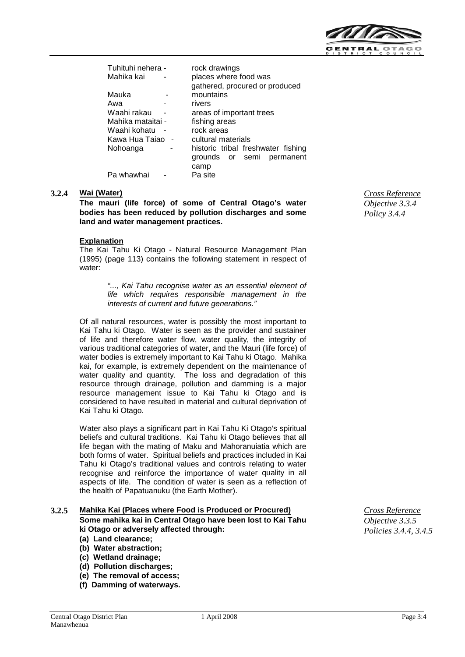

| Tuhituhi nehera - | rock drawings                      |  |  |
|-------------------|------------------------------------|--|--|
| Mahika kai        | places where food was              |  |  |
|                   | gathered, procured or produced     |  |  |
| Mauka             | mountains                          |  |  |
| Awa               | rivers                             |  |  |
| Waahi rakau       | areas of important trees           |  |  |
| Mahika mataitai - | fishing areas                      |  |  |
| Waahi kohatu      | rock areas                         |  |  |
| Kawa Hua Taiao    | cultural materials                 |  |  |
| Nohoanga          | historic tribal freshwater fishing |  |  |
|                   | permanent<br>grounds or semi       |  |  |
|                   | camp                               |  |  |
| Pa whawhai        | Pa site                            |  |  |
|                   |                                    |  |  |

#### **3.2.4 Wai (Water)** *Cross Reference*

**The mauri (life force) of some of Central Otago's water bodies has been reduced by pollution discharges and some land and water management practices.**

#### **Explanation**

The Kai Tahu Ki Otago - Natural Resource Management Plan (1995) (page 113) contains the following statement in respect of water:

> *"..., Kai Tahu recognise water as an essential element of life which requires responsible management in the interests of current and future generations."*

Of all natural resources, water is possibly the most important to Kai Tahu ki Otago. Water is seen as the provider and sustainer of life and therefore water flow, water quality, the integrity of various traditional categories of water, and the Mauri (life force) of water bodies is extremely important to Kai Tahu ki Otago. Mahika kai, for example, is extremely dependent on the maintenance of water quality and quantity. The loss and degradation of this resource through drainage, pollution and damming is a major resource management issue to Kai Tahu ki Otago and is considered to have resulted in material and cultural deprivation of Kai Tahu ki Otago.

Water also plays a significant part in Kai Tahu Ki Otago's spiritual beliefs and cultural traditions. Kai Tahu ki Otago believes that all life began with the mating of Maku and Mahoranuiatia which are both forms of water. Spiritual beliefs and practices included in Kai Tahu ki Otago's traditional values and controls relating to water recognise and reinforce the importance of water quality in all aspects of life. The condition of water is seen as a reflection of the health of Papatuanuku (the Earth Mother).

#### **3.2.5 Mahika Kai (Places where Food is Produced or Procured)** *Cross Reference* **Some mahika kai in Central Otago have been lost to Kai Tahu ki Otago or adversely affected through:**

- **(a) Land clearance;**
- **(b) Water abstraction;**
- **(c) Wetland drainage;**
- **(d) Pollution discharges;**
- **(e) The removal of access;**
- **(f) Damming of waterways.**

*Objective 3.3.4 Policy 3.4.4*

*Objective 3.3.5 Policies 3.4.4, 3.4.5*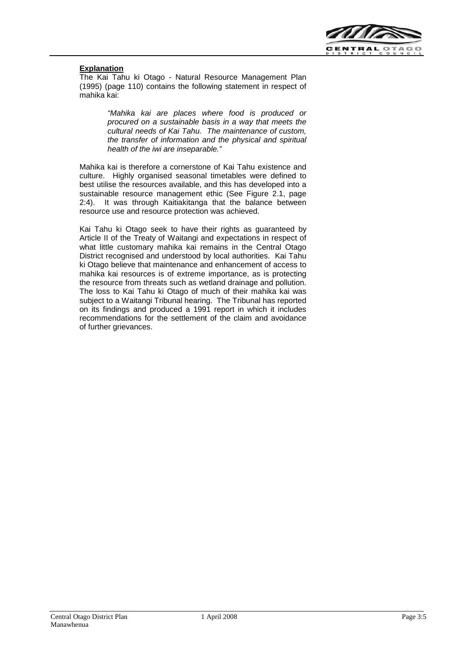

## **Explanation**

The Kai Tahu ki Otago - Natural Resource Management Plan (1995) (page 110) contains the following statement in respect of mahika kai:

> *"Mahika kai are places where food is produced or procured on a sustainable basis in a way that meets the cultural needs of Kai Tahu. The maintenance of custom, the transfer of information and the physical and spiritual health of the iwi are inseparable."*

Mahika kai is therefore a cornerstone of Kai Tahu existence and culture. Highly organised seasonal timetables were defined to best utilise the resources available, and this has developed into a sustainable resource management ethic (See Figure 2.1, page 2:4). It was through Kaitiakitanga that the balance between resource use and resource protection was achieved.

Kai Tahu ki Otago seek to have their rights as guaranteed by Article II of the Treaty of Waitangi and expectations in respect of what little customary mahika kai remains in the Central Otago District recognised and understood by local authorities. Kai Tahu ki Otago believe that maintenance and enhancement of access to mahika kai resources is of extreme importance, as is protecting the resource from threats such as wetland drainage and pollution. The loss to Kai Tahu ki Otago of much of their mahika kai was subject to a Waitangi Tribunal hearing. The Tribunal has reported on its findings and produced a 1991 report in which it includes recommendations for the settlement of the claim and avoidance of further grievances.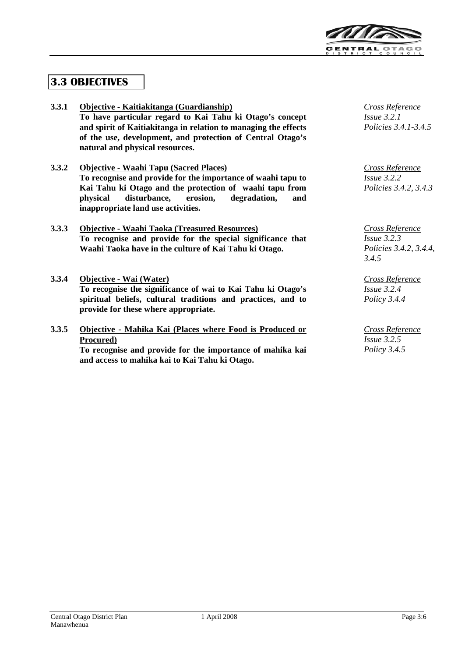

# **3.3 OBJECTIVES**

| 3.3.1 | Objective - Kaitiakitanga (Guardianship)                        | Cross Reference                             |
|-------|-----------------------------------------------------------------|---------------------------------------------|
|       | To have particular regard to Kai Tahu ki Otago's concept        | Issue 3.2.1                                 |
|       | and spirit of Kaitiakitanga in relation to managing the effects | Policies 3.4.1-3.4.5                        |
|       | of the use, development, and protection of Central Otago's      |                                             |
|       | natural and physical resources.                                 |                                             |
| 3.3.2 | <b>Objective - Waahi Tapu (Sacred Places)</b>                   | Cross Reference                             |
|       | To recognise and provide for the importance of waahi tapu to    | $Is5$ as 3.2.2                              |
|       | Kai Tahu ki Otago and the protection of waahi tapu from         | Policies 3.4.2, 3.4.3                       |
|       | disturbance,<br>erosion,<br>degradation,<br>physical<br>and     |                                             |
|       | inappropriate land use activities.                              |                                             |
| 3.3.3 | <b>Objective - Waahi Taoka (Treasured Resources)</b>            |                                             |
|       | To recognise and provide for the special significance that      | <b>Cross Reference</b><br>$I_{S}$ sue 3.2.3 |
|       | Waahi Taoka have in the culture of Kai Tahu ki Otago.           | Policies 3.4.2, 3.4.4,                      |
|       |                                                                 | 3.4.5                                       |
|       |                                                                 |                                             |
| 3.3.4 | Objective - Wai (Water)                                         | Cross Reference                             |
|       | To recognise the significance of wai to Kai Tahu ki Otago's     | $Is5$ <i>Issue</i> 3.2.4                    |
|       | spiritual beliefs, cultural traditions and practices, and to    | Policy 3.4.4                                |
|       | provide for these where appropriate.                            |                                             |
| 3.3.5 | Objective - Mahika Kai (Places where Food is Produced or        | Cross Reference                             |
|       | Procured)                                                       | $I_{S}$ sue 3.2.5                           |
|       | To recognise and provide for the importance of mahika kai       | Policy $3.4.5$                              |
|       | and access to mahika kai to Kai Tahu ki Otago.                  |                                             |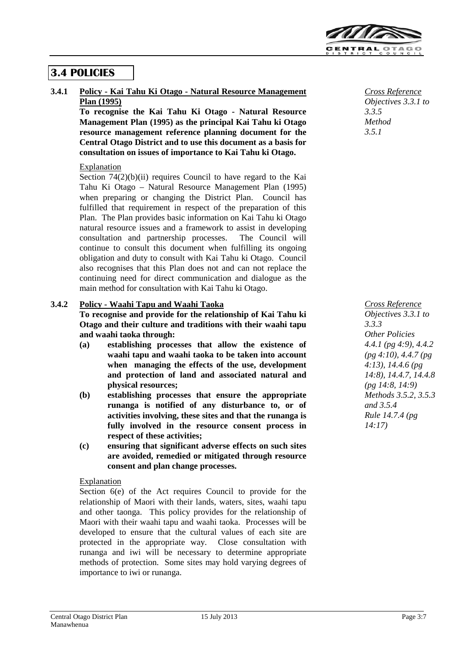

## **3.4 POLICIES**

**3.4.1 Policy - Kai Tahu Ki Otago - Natural Resource Management Plan (1995)**

> **To recognise the Kai Tahu Ki Otago - Natural Resource Management Plan (1995) as the principal Kai Tahu ki Otago resource management reference planning document for the Central Otago District and to use this document as a basis for consultation on issues of importance to Kai Tahu ki Otago.**

## Explanation

Section 74(2)(b)(ii) requires Council to have regard to the Kai Tahu Ki Otago – Natural Resource Management Plan (1995) when preparing or changing the District Plan. Council has fulfilled that requirement in respect of the preparation of this Plan. The Plan provides basic information on Kai Tahu ki Otago natural resource issues and a framework to assist in developing consultation and partnership processes. The Council will continue to consult this document when fulfilling its ongoing obligation and duty to consult with Kai Tahu ki Otago. Council also recognises that this Plan does not and can not replace the continuing need for direct communication and dialogue as the main method for consultation with Kai Tahu ki Otago.

## **3.4.2 Policy - Waahi Tapu and Waahi Taoka**

**To recognise and provide for the relationship of Kai Tahu ki Otago and their culture and traditions with their waahi tapu and waahi taoka through:**

- **(a) establishing processes that allow the existence of waahi tapu and waahi taoka to be taken into account when managing the effects of the use, development and protection of land and associated natural and physical resources;**
- **(b) establishing processes that ensure the appropriate runanga is notified of any disturbance to, or of activities involving, these sites and that the runanga is fully involved in the resource consent process in respect of these activities;**
- **(c) ensuring that significant adverse effects on such sites are avoided, remedied or mitigated through resource consent and plan change processes.**

## **Explanation**

Section 6(e) of the Act requires Council to provide for the relationship of Maori with their lands, waters, sites, waahi tapu and other taonga. This policy provides for the relationship of Maori with their waahi tapu and waahi taoka. Processes will be developed to ensure that the cultural values of each site are protected in the appropriate way. Close consultation with runanga and iwi will be necessary to determine appropriate methods of protection. Some sites may hold varying degrees of importance to iwi or runanga.

*Cross Reference Objectives 3.3.1 to 3.3.5 Method 3.5.1*

*Cross Reference Objectives 3.3.1 to 3.3.3 Other Policies 4.4.1 (pg 4:9), 4.4.2 (pg 4:10), 4.4.7 (pg 4:13), 14.4.6 (pg 14:8), 14.4.7, 14.4.8 (pg 14:8, 14:9) Methods 3.5.2, 3.5.3 and 3.5.4 Rule 14.7.4 (pg 14:17)*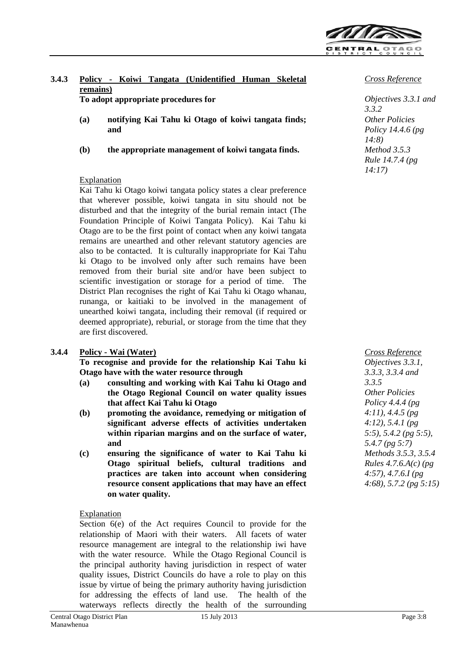

## **3.4.3 Policy - Koiwi Tangata (Unidentified Human Skeletal remains)**

**To adopt appropriate procedures for**

- **(a) notifying Kai Tahu ki Otago of koiwi tangata finds; and**
- **(b) the appropriate management of koiwi tangata finds.**

## **Explanation**

Kai Tahu ki Otago koiwi tangata policy states a clear preference that wherever possible, koiwi tangata in situ should not be disturbed and that the integrity of the burial remain intact (The Foundation Principle of Koiwi Tangata Policy). Kai Tahu ki Otago are to be the first point of contact when any koiwi tangata remains are unearthed and other relevant statutory agencies are also to be contacted. It is culturally inappropriate for Kai Tahu ki Otago to be involved only after such remains have been removed from their burial site and/or have been subject to scientific investigation or storage for a period of time. The District Plan recognises the right of Kai Tahu ki Otago whanau, runanga, or kaitiaki to be involved in the management of unearthed koiwi tangata, including their removal (if required or deemed appropriate), reburial, or storage from the time that they are first discovered.

## **3.4.4 Policy - Wai (Water)** *Cross Reference*

**To recognise and provide for the relationship Kai Tahu ki Otago have with the water resource through**

- **(a) consulting and working with Kai Tahu ki Otago and the Otago Regional Council on water quality issues that affect Kai Tahu ki Otago**
- **(b) promoting the avoidance, remedying or mitigation of significant adverse effects of activities undertaken within riparian margins and on the surface of water, and**
- **(c) ensuring the significance of water to Kai Tahu ki Otago spiritual beliefs, cultural traditions and practices are taken into account when considering resource consent applications that may have an effect on water quality.**

## Explanation

Section 6(e) of the Act requires Council to provide for the relationship of Maori with their waters. All facets of water resource management are integral to the relationship iwi have with the water resource. While the Otago Regional Council is the principal authority having jurisdiction in respect of water quality issues, District Councils do have a role to play on this issue by virtue of being the primary authority having jurisdiction for addressing the effects of land use. The health of the waterways reflects directly the health of the surrounding

## *Cross Reference*

*Objectives 3.3.1 and 3.3.2 Other Policies Policy 14.4.6 (pg 14:8) Method 3.5.3 Rule 14.7.4 (pg 14:17)*

*Objectives 3.3.1, 3.3.3, 3.3.4 and 3.3.5 Other Policies Policy 4.4.4 (pg 4:11), 4.4.5 (pg 4:12), 5.4.1 (pg 5:5), 5.4.2 (pg 5:5), 5.4.7 (pg 5:7) Methods 3.5.3, 3.5.4 Rules 4.7.6.A(c) (pg 4:57), 4.7.6.I (pg 4:68), 5.7.2 (pg 5:15)*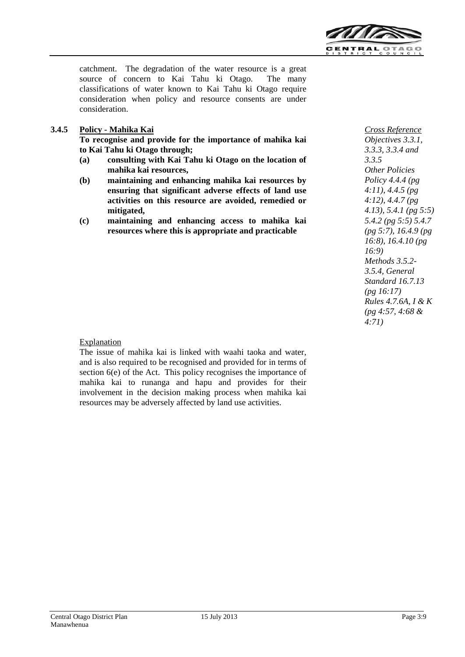

catchment. The degradation of the water resource is a great source of concern to Kai Tahu ki Otago. The many classifications of water known to Kai Tahu ki Otago require consideration when policy and resource consents are under consideration.

## **3.4.5 Policy - Mahika Kai** *Cross Reference*

**To recognise and provide for the importance of mahika kai to Kai Tahu ki Otago through;**

- **(a) consulting with Kai Tahu ki Otago on the location of mahika kai resources,**
- **(b) maintaining and enhancing mahika kai resources by ensuring that significant adverse effects of land use activities on this resource are avoided, remedied or mitigated,**
- **(c) maintaining and enhancing access to mahika kai resources where this is appropriate and practicable**

*Objectives 3.3.1, 3.3.3, 3.3.4 and 3.3.5 Other Policies Policy 4.4.4 (pg 4:11), 4.4.5 (pg 4:12), 4.4.7 (pg 4.13), 5.4.1 (pg 5:5) 5.4.2 (pg 5:5) 5.4.7 (pg 5:7), 16.4.9 (pg 16:8), 16.4.10 (pg 16:9) Methods 3.5.2- 3.5.4, General Standard 16.7.13 (pg 16:17) Rules 4.7.6A, I & K (pg 4:57, 4:68 & 4:71)*

## Explanation

The issue of mahika kai is linked with waahi taoka and water, and is also required to be recognised and provided for in terms of section 6(e) of the Act. This policy recognises the importance of mahika kai to runanga and hapu and provides for their involvement in the decision making process when mahika kai resources may be adversely affected by land use activities.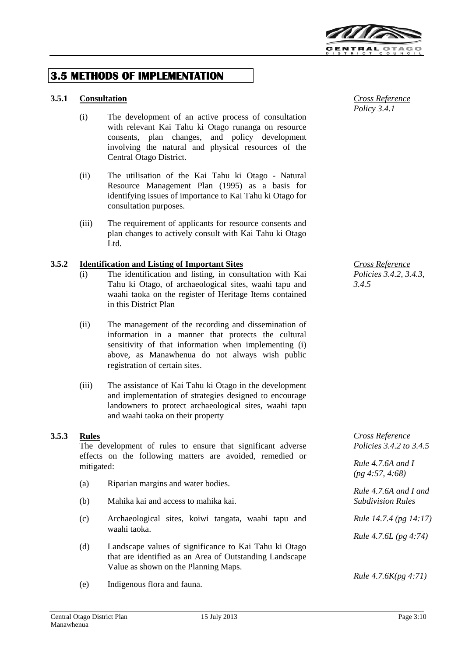

## **3.5 METHODS OF IMPLEMENTATION**

## **3.5.1 Consultation** *Cross Reference*

- (i) The development of an active process of consultation with relevant Kai Tahu ki Otago runanga on resource consents, plan changes, and policy development involving the natural and physical resources of the Central Otago District.
- (ii) The utilisation of the Kai Tahu ki Otago Natural Resource Management Plan (1995) as a basis for identifying issues of importance to Kai Tahu ki Otago for consultation purposes.
- (iii) The requirement of applicants for resource consents and plan changes to actively consult with Kai Tahu ki Otago Ltd.

## **3.5.2 Identification and Listing of Important Sites** *Cross Reference*

- (i) The identification and listing, in consultation with Kai Tahu ki Otago, of archaeological sites, waahi tapu and waahi taoka on the register of Heritage Items contained in this District Plan
- (ii) The management of the recording and dissemination of information in a manner that protects the cultural sensitivity of that information when implementing (i) above, as Manawhenua do not always wish public registration of certain sites.
- (iii) The assistance of Kai Tahu ki Otago in the development and implementation of strategies designed to encourage landowners to protect archaeological sites, waahi tapu and waahi taoka on their property

The development of rules to ensure that significant adverse effects on the following matters are avoided, remedied or mitigated:

- (a) Riparian margins and water bodies.
- (b) Mahika kai and access to mahika kai.
- (c) Archaeological sites, koiwi tangata, waahi tapu and waahi taoka.
- (d) Landscape values of significance to Kai Tahu ki Otago that are identified as an Area of Outstanding Landscape Value as shown on the Planning Maps.
- (e) Indigenous flora and fauna.

*Policy 3.4.1*

*Policies 3.4.2, 3.4.3, 3.4.5*

**3.5.3 Rules** *Cross Reference Policies 3.4.2 to 3.4.5*

> *Rule 4.7.6A and I (pg 4:57, 4:68)*

*Rule 4.7.6A and I and Subdivision Rules*

*Rule 14.7.4 (pg 14:17)*

*Rule 4.7.6L (pg 4:74)*

*Rule 4.7.6K(pg 4:71)*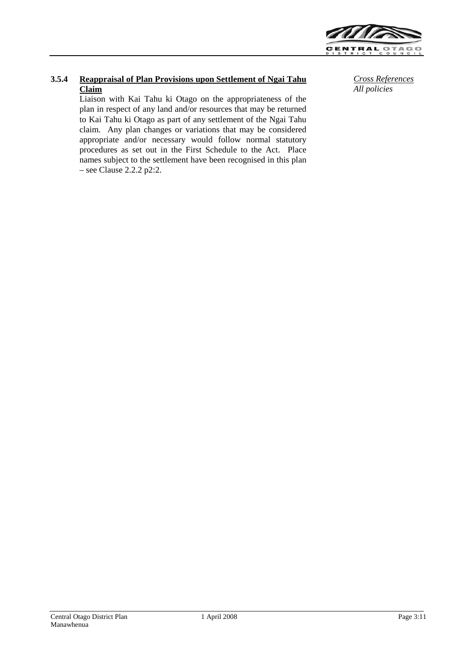

## **3.5.4 Reappraisal of Plan Provisions upon Settlement of Ngai Tahu Claim**

Liaison with Kai Tahu ki Otago on the appropriateness of the plan in respect of any land and/or resources that may be returned to Kai Tahu ki Otago as part of any settlement of the Ngai Tahu claim. Any plan changes or variations that may be considered appropriate and/or necessary would follow normal statutory procedures as set out in the First Schedule to the Act. Place names subject to the settlement have been recognised in this plan – see Clause 2.2.2 p2:2.

*Cross References All policies*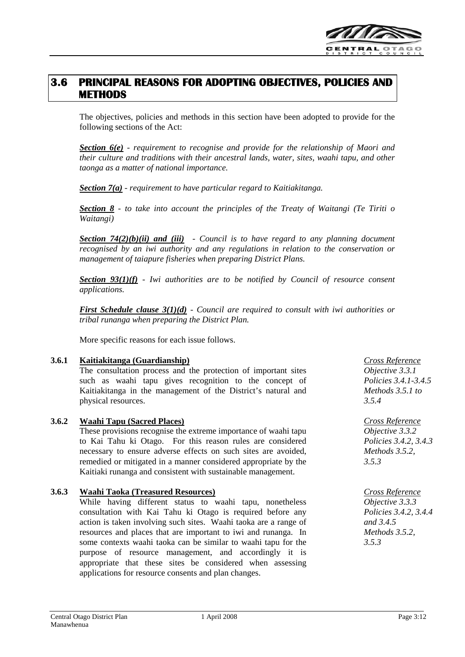

## **3.6 PRINCIPAL REASONS FOR ADOPTING OBJECTIVES, POLICIES AND METHODS**

The objectives, policies and methods in this section have been adopted to provide for the following sections of the Act:

*Section 6(e) - requirement to recognise and provide for the relationship of Maori and their culture and traditions with their ancestral lands, water, sites, waahi tapu, and other taonga as a matter of national importance.*

*Section 7(a) - requirement to have particular regard to Kaitiakitanga.*

*Section 8 - to take into account the principles of the Treaty of Waitangi (Te Tiriti o Waitangi)*

*Section 74(2)(b)(ii) and (iii) - Council is to have regard to any planning document recognised by an iwi authority and any regulations in relation to the conservation or management of taiapure fisheries when preparing District Plans.*

*Section 93(1)(f) - Iwi authorities are to be notified by Council of resource consent applications.*

*First Schedule clause 3(1)(d) - Council are required to consult with iwi authorities or tribal runanga when preparing the District Plan.*

More specific reasons for each issue follows.

## **3.6.1 Kaitiakitanga (Guardianship)** *Cross Reference*

The consultation process and the protection of important sites such as waahi tapu gives recognition to the concept of Kaitiakitanga in the management of the District's natural and physical resources.

## **3.6.2 Waahi Tapu (Sacred Places)** *Cross Reference*

These provisions recognise the extreme importance of waahi tapu to Kai Tahu ki Otago. For this reason rules are considered necessary to ensure adverse effects on such sites are avoided, remedied or mitigated in a manner considered appropriate by the Kaitiaki runanga and consistent with sustainable management.

## **3.6.3 Waahi Taoka (Treasured Resources)** *Cross Reference*

While having different status to waahi tapu, nonetheless consultation with Kai Tahu ki Otago is required before any action is taken involving such sites. Waahi taoka are a range of resources and places that are important to iwi and runanga. In some contexts waahi taoka can be similar to waahi tapu for the purpose of resource management, and accordingly it is appropriate that these sites be considered when assessing applications for resource consents and plan changes.

*Objective 3.3.1 Policies 3.4.1-3.4.5 Methods 3.5.1 to 3.5.4*

*Objective 3.3.2 Policies 3.4.2, 3.4.3 Methods 3.5.2, 3.5.3*

*Objective 3.3.3 Policies 3.4.2, 3.4.4 and 3.4.5 Methods 3.5.2, 3.5.3*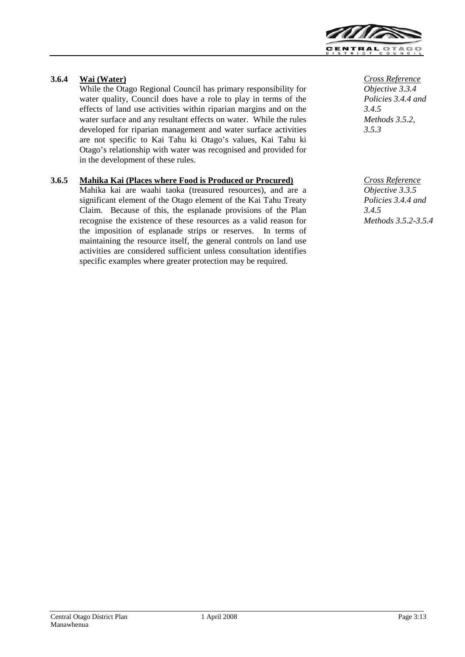

## **3.6.4 Wai (Water)** *Cross Reference*

While the Otago Regional Council has primary responsibility for water quality, Council does have a role to play in terms of the effects of land use activities within riparian margins and on the water surface and any resultant effects on water. While the rules developed for riparian management and water surface activities are not specific to Kai Tahu ki Otago's values, Kai Tahu ki Otago's relationship with water was recognised and provided for in the development of these rules.

## **3.6.5 Mahika Kai (Places where Food is Produced or Procured)** *Cross Reference*

Mahika kai are waahi taoka (treasured resources), and are a significant element of the Otago element of the Kai Tahu Treaty Claim. Because of this, the esplanade provisions of the Plan recognise the existence of these resources as a valid reason for the imposition of esplanade strips or reserves. In terms of maintaining the resource itself, the general controls on land use activities are considered sufficient unless consultation identifies specific examples where greater protection may be required.

*Objective 3.3.4 Policies 3.4.4 and 3.4.5 Methods 3.5.2, 3.5.3*

*Objective 3.3.5 Policies 3.4.4 and 3.4.5 Methods 3.5.2-3.5.4*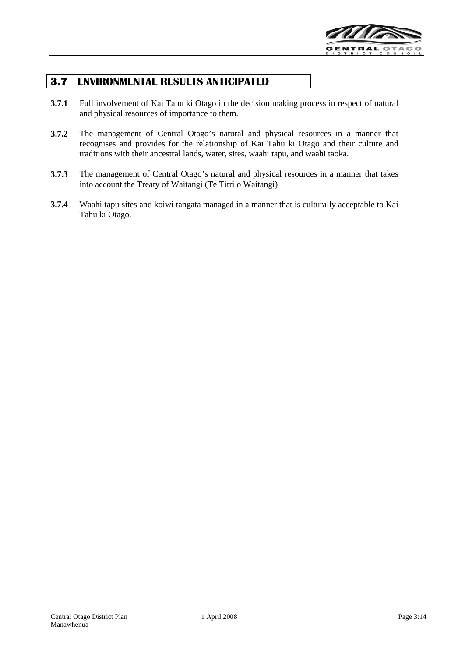

## **3.7 ENVIRONMENTAL RESULTS ANTICIPATED**

- **3.7.1** Full involvement of Kai Tahu ki Otago in the decision making process in respect of natural and physical resources of importance to them.
- **3.7.2** The management of Central Otago's natural and physical resources in a manner that recognises and provides for the relationship of Kai Tahu ki Otago and their culture and traditions with their ancestral lands, water, sites, waahi tapu, and waahi taoka.
- **3.7.3** The management of Central Otago's natural and physical resources in a manner that takes into account the Treaty of Waitangi (Te Titri o Waitangi)
- **3.7.4** Waahi tapu sites and koiwi tangata managed in a manner that is culturally acceptable to Kai Tahu ki Otago.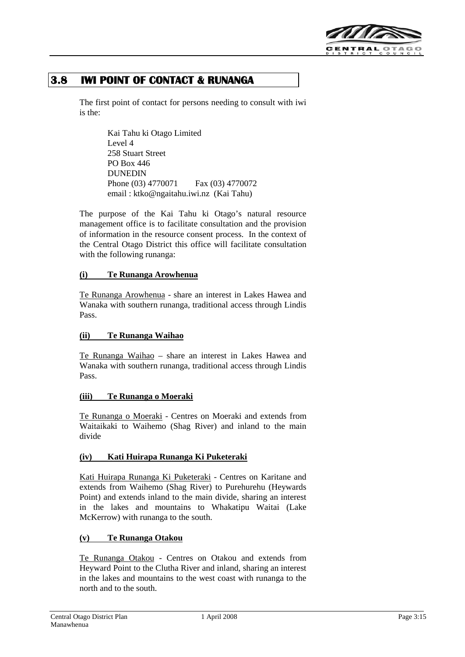

## **3.8 IWI POINT OF CONTACT & RUNANGA**

The first point of contact for persons needing to consult with iwi is the:

> Kai Tahu ki Otago Limited Level 4 258 Stuart Street PO Box 446 DUNEDIN Phone (03) 4770071 Fax (03) 4770072 email : ktko@ngaitahu.iwi.nz (Kai Tahu)

The purpose of the Kai Tahu ki Otago's natural resource management office is to facilitate consultation and the provision of information in the resource consent process. In the context of the Central Otago District this office will facilitate consultation with the following runanga:

## **(i) Te Runanga Arowhenua**

Te Runanga Arowhenua - share an interest in Lakes Hawea and Wanaka with southern runanga, traditional access through Lindis Pass.

## **(ii) Te Runanga Waihao**

Te Runanga Waihao – share an interest in Lakes Hawea and Wanaka with southern runanga, traditional access through Lindis Pass.

## **(iii) Te Runanga o Moeraki**

Te Runanga o Moeraki - Centres on Moeraki and extends from Waitaikaki to Waihemo (Shag River) and inland to the main divide

## **(iv) Kati Huirapa Runanga Ki Puketeraki**

Kati Huirapa Runanga Ki Puketeraki - Centres on Karitane and extends from Waihemo (Shag River) to Purehurehu (Heywards Point) and extends inland to the main divide, sharing an interest in the lakes and mountains to Whakatipu Waitai (Lake McKerrow) with runanga to the south.

## **(v) Te Runanga Otakou**

Te Runanga Otakou - Centres on Otakou and extends from Heyward Point to the Clutha River and inland, sharing an interest in the lakes and mountains to the west coast with runanga to the north and to the south.